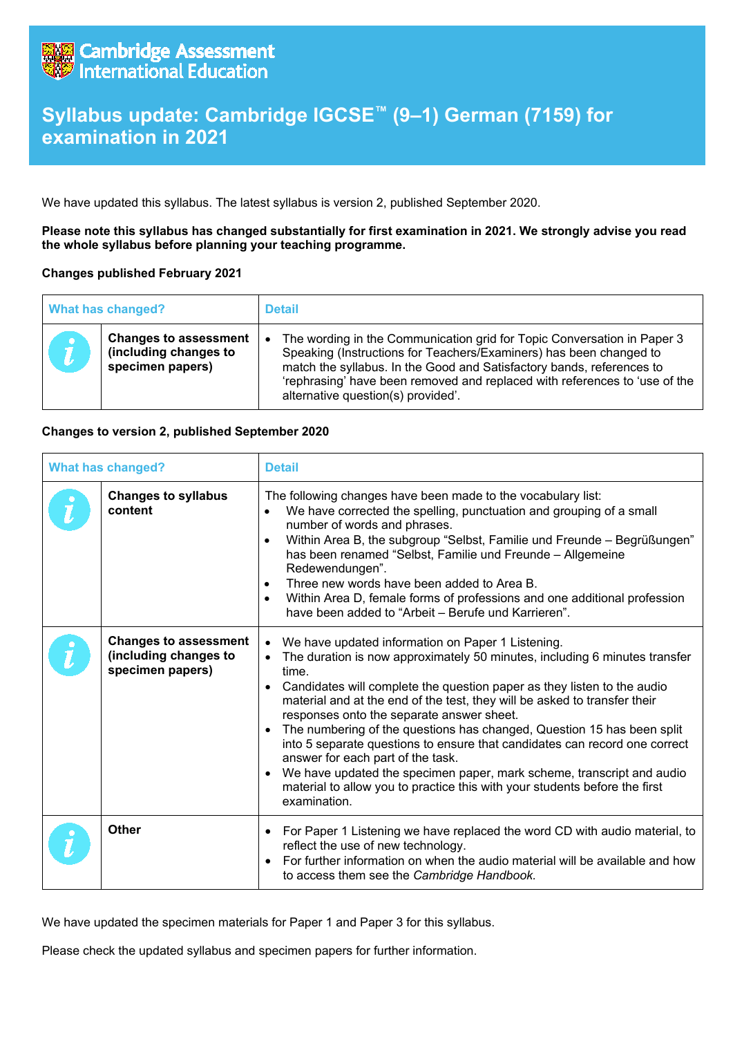

## **Syllabus update: Cambridge IGCSE™ (9–1) German (7159) for examination in 2021**

We have updated this syllabus. The latest syllabus is version 2, published September 2020.

**Please note this syllabus has changed substantially for first examination in 2021. We strongly advise you read the whole syllabus before planning your teaching programme.**

## **Changes published February 2021**

| <b>What has changed?</b> |                                                                           | <b>Detail</b>                                                                                                                                                                                                                                                                                                                              |
|--------------------------|---------------------------------------------------------------------------|--------------------------------------------------------------------------------------------------------------------------------------------------------------------------------------------------------------------------------------------------------------------------------------------------------------------------------------------|
|                          | <b>Changes to assessment</b><br>(including changes to<br>specimen papers) | The wording in the Communication grid for Topic Conversation in Paper 3<br>Speaking (Instructions for Teachers/Examiners) has been changed to<br>match the syllabus. In the Good and Satisfactory bands, references to<br>'rephrasing' have been removed and replaced with references to 'use of the<br>alternative question(s) provided'. |

## **Changes to version 2, published September 2020**

| <b>What has changed?</b> |                                                                           | <b>Detail</b>                                                                                                                                                                                                                                                                                                                                                                                                                                                                                                                                                                                                                                                                                                                                                         |
|--------------------------|---------------------------------------------------------------------------|-----------------------------------------------------------------------------------------------------------------------------------------------------------------------------------------------------------------------------------------------------------------------------------------------------------------------------------------------------------------------------------------------------------------------------------------------------------------------------------------------------------------------------------------------------------------------------------------------------------------------------------------------------------------------------------------------------------------------------------------------------------------------|
|                          | <b>Changes to syllabus</b><br>content                                     | The following changes have been made to the vocabulary list:<br>We have corrected the spelling, punctuation and grouping of a small<br>$\bullet$<br>number of words and phrases.<br>Within Area B, the subgroup "Selbst, Familie und Freunde - Begrüßungen"<br>$\bullet$<br>has been renamed "Selbst, Familie und Freunde - Allgemeine<br>Redewendungen".<br>Three new words have been added to Area B.<br>$\bullet$<br>Within Area D, female forms of professions and one additional profession<br>$\bullet$<br>have been added to "Arbeit - Berufe und Karrieren".                                                                                                                                                                                                  |
|                          | <b>Changes to assessment</b><br>(including changes to<br>specimen papers) | We have updated information on Paper 1 Listening.<br>$\bullet$<br>The duration is now approximately 50 minutes, including 6 minutes transfer<br>time.<br>Candidates will complete the question paper as they listen to the audio<br>$\bullet$<br>material and at the end of the test, they will be asked to transfer their<br>responses onto the separate answer sheet.<br>The numbering of the questions has changed, Question 15 has been split<br>$\bullet$<br>into 5 separate questions to ensure that candidates can record one correct<br>answer for each part of the task.<br>We have updated the specimen paper, mark scheme, transcript and audio<br>$\bullet$<br>material to allow you to practice this with your students before the first<br>examination. |
|                          | <b>Other</b>                                                              | For Paper 1 Listening we have replaced the word CD with audio material, to<br>$\bullet$<br>reflect the use of new technology.<br>For further information on when the audio material will be available and how<br>$\bullet$<br>to access them see the Cambridge Handbook.                                                                                                                                                                                                                                                                                                                                                                                                                                                                                              |

We have updated the specimen materials for Paper 1 and Paper 3 for this syllabus.

Please check the updated syllabus and specimen papers for further information.